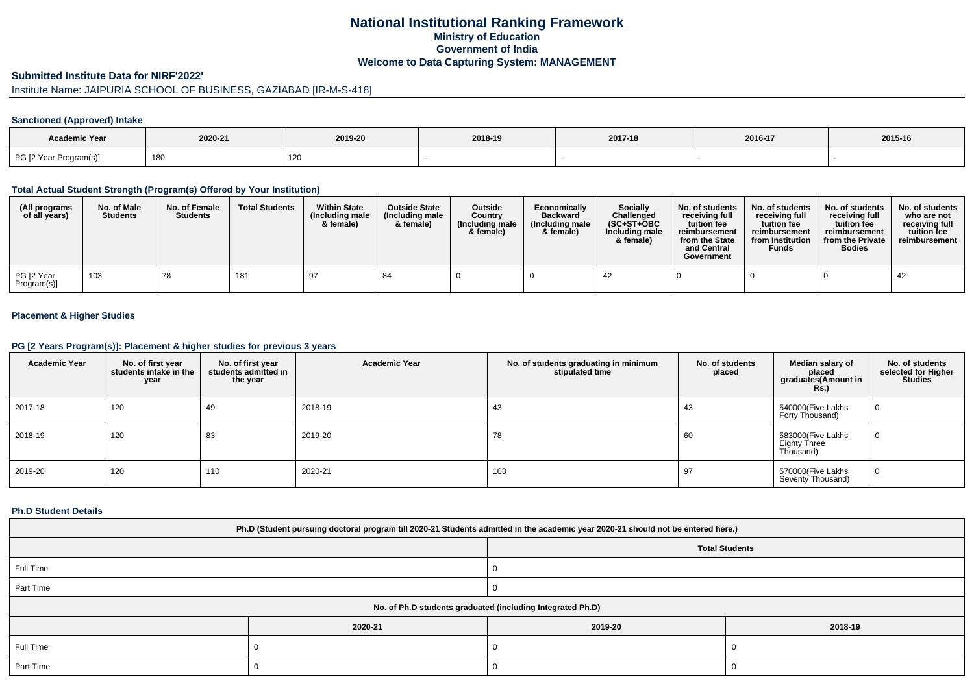## **National Institutional Ranking FrameworkMinistry of Education Government of IndiaWelcome to Data Capturing System: MANAGEMENT**

#### **Submitted Institute Data for NIRF'2022'**

# Institute Name: JAIPURIA SCHOOL OF BUSINESS, GAZIABAD [IR-M-S-418]

## **Sanctioned (Approved) Intake**

| Academic Year          |         |         |         |         |         |         |
|------------------------|---------|---------|---------|---------|---------|---------|
|                        | 2020-21 | 2019-20 | 2018-19 | 2017-18 | 2016-17 | 2015-16 |
| PG [2 Year Program(s)] | 180     | 120     |         |         |         |         |

#### **Total Actual Student Strength (Program(s) Offered by Your Institution)**

| (All programs<br>of all years) | No. of Male<br><b>Students</b> | No. of Female<br><b>Students</b> | <b>Total Students</b> | <b>Within State</b><br>(Including male<br>& female) | <b>Outside State</b><br>(Including male)<br>& female) | <b>Outside</b><br>Country<br>(Including male<br>& female) | Economically<br><b>Backward</b><br>(Including male<br>& female) | <b>Socially</b><br>Challenged<br>$(SC+ST+OBC)$<br>Including male<br>& female) | No. of students<br>receivina full<br>tuition fee<br>reimbursement<br>from the State<br>and Central<br>Government | No. of students<br>receiving full<br>tuition fee<br>reimbursement<br>from Institution<br><b>Funds</b> | No. of students<br>receiving full<br>tuition fee<br>reimbursement<br>from the Private<br><b>Bodies</b> | No. of students<br>who are not<br>receiving full<br>tuition fee<br>reimbursement |
|--------------------------------|--------------------------------|----------------------------------|-----------------------|-----------------------------------------------------|-------------------------------------------------------|-----------------------------------------------------------|-----------------------------------------------------------------|-------------------------------------------------------------------------------|------------------------------------------------------------------------------------------------------------------|-------------------------------------------------------------------------------------------------------|--------------------------------------------------------------------------------------------------------|----------------------------------------------------------------------------------|
| PG [2 Year<br>Program(s)]      | 103                            | 78                               | 181                   | 97                                                  | 84                                                    |                                                           |                                                                 | -42                                                                           |                                                                                                                  |                                                                                                       |                                                                                                        | 42                                                                               |

### **Placement & Higher Studies**

#### **PG [2 Years Program(s)]: Placement & higher studies for previous 3 years**

| <b>Academic Year</b> | No. of first year<br>students intake in the<br>year | No. of first year<br>students admitted in<br>the year | <b>Academic Year</b> | No. of students graduating in minimum<br>stipulated time | No. of students<br>placed | Median salary of<br>placed<br>graduates(Amount in<br><b>Rs.)</b> | No. of students<br>selected for Higher<br><b>Studies</b> |
|----------------------|-----------------------------------------------------|-------------------------------------------------------|----------------------|----------------------------------------------------------|---------------------------|------------------------------------------------------------------|----------------------------------------------------------|
| 2017-18              | 120                                                 | 49                                                    | 2018-19              | 43                                                       | 43                        | 540000(Five Lakhs<br>Forty Thousand)                             | 0                                                        |
| 2018-19              | 120                                                 | 83                                                    | 2019-20              | 78                                                       | 60                        | 583000(Five Lakhs<br>Eighty Three<br>Thousand)                   | 0                                                        |
| 2019-20              | 120                                                 | 110                                                   | 2020-21              | 103                                                      | 97                        | 570000(Five Lakhs<br>Seventy Thousand)                           | 0                                                        |

#### **Ph.D Student Details**

| Ph.D (Student pursuing doctoral program till 2020-21 Students admitted in the academic year 2020-21 should not be entered here.) |         |                                                            |         |  |  |  |  |
|----------------------------------------------------------------------------------------------------------------------------------|---------|------------------------------------------------------------|---------|--|--|--|--|
| <b>Total Students</b>                                                                                                            |         |                                                            |         |  |  |  |  |
| Full Time                                                                                                                        |         |                                                            |         |  |  |  |  |
| Part Time                                                                                                                        |         |                                                            |         |  |  |  |  |
|                                                                                                                                  |         | No. of Ph.D students graduated (including Integrated Ph.D) |         |  |  |  |  |
|                                                                                                                                  | 2020-21 | 2019-20                                                    | 2018-19 |  |  |  |  |
| Full Time                                                                                                                        |         |                                                            |         |  |  |  |  |
| Part Time                                                                                                                        |         |                                                            |         |  |  |  |  |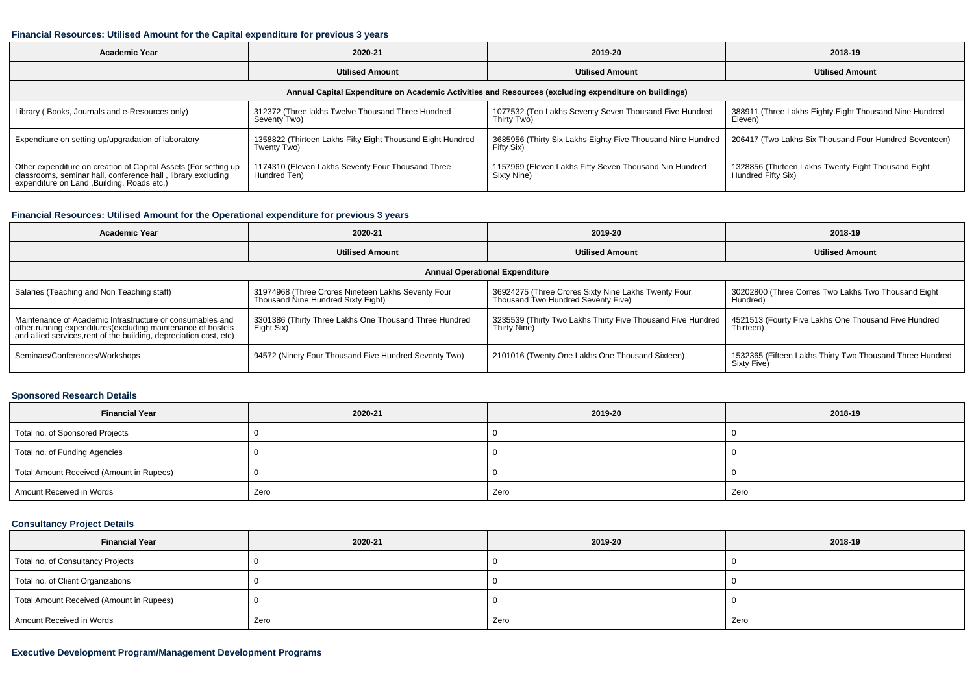#### **Financial Resources: Utilised Amount for the Capital expenditure for previous 3 years**

| <b>Academic Year</b>                                                                                                                                                           | 2020-21                                                                   | 2019-20                                                                     | 2018-19                                                                   |  |  |  |  |  |  |
|--------------------------------------------------------------------------------------------------------------------------------------------------------------------------------|---------------------------------------------------------------------------|-----------------------------------------------------------------------------|---------------------------------------------------------------------------|--|--|--|--|--|--|
|                                                                                                                                                                                | <b>Utilised Amount</b>                                                    | <b>Utilised Amount</b>                                                      | <b>Utilised Amount</b>                                                    |  |  |  |  |  |  |
| Annual Capital Expenditure on Academic Activities and Resources (excluding expenditure on buildings)                                                                           |                                                                           |                                                                             |                                                                           |  |  |  |  |  |  |
| Library (Books, Journals and e-Resources only)                                                                                                                                 | 312372 (Three lakhs Twelve Thousand Three Hundred<br>Seventy Two)         | 1077532 (Ten Lakhs Seventy Seven Thousand Five Hundred<br>Thirty Two)       | 388911 (Three Lakhs Eighty Eight Thousand Nine Hundred<br>Eleven)         |  |  |  |  |  |  |
| Expenditure on setting up/upgradation of laboratory                                                                                                                            | 1358822 (Thirteen Lakhs Fifty Eight Thousand Eight Hundred<br>Twenty Two) | 3685956 (Thirty Six Lakhs Eighty Five Thousand Nine Hundred  <br>Fifty Six) | 206417 (Two Lakhs Six Thousand Four Hundred Seventeen)                    |  |  |  |  |  |  |
| Other expenditure on creation of Capital Assets (For setting up<br>classrooms, seminar hall, conference hall, library excluding<br>expenditure on Land , Building, Roads etc.) | 1174310 (Eleven Lakhs Seventy Four Thousand Three<br>Hundred Ten)         | 1157969 (Eleven Lakhs Fifty Seven Thousand Nin Hundred<br>Sixty Nine)       | 1328856 (Thirteen Lakhs Twenty Eight Thousand Eight<br>Hundred Fifty Six) |  |  |  |  |  |  |

## **Financial Resources: Utilised Amount for the Operational expenditure for previous 3 years**

| Academic Year                                                                                                                                                                                  | 2020-21                                                                                  | 2019-20                                                                                   | 2018-19                                                                 |  |  |  |  |  |
|------------------------------------------------------------------------------------------------------------------------------------------------------------------------------------------------|------------------------------------------------------------------------------------------|-------------------------------------------------------------------------------------------|-------------------------------------------------------------------------|--|--|--|--|--|
|                                                                                                                                                                                                | <b>Utilised Amount</b>                                                                   | <b>Utilised Amount</b>                                                                    | <b>Utilised Amount</b>                                                  |  |  |  |  |  |
| <b>Annual Operational Expenditure</b>                                                                                                                                                          |                                                                                          |                                                                                           |                                                                         |  |  |  |  |  |
| Salaries (Teaching and Non Teaching staff)                                                                                                                                                     | 31974968 (Three Crores Nineteen Lakhs Seventy Four<br>Thousand Nine Hundred Sixty Eight) | 36924275 (Three Crores Sixty Nine Lakhs Twenty Four<br>Thousand Two Hundred Seventy Five) | 30202800 (Three Corres Two Lakhs Two Thousand Eight<br>Hundred)         |  |  |  |  |  |
| Maintenance of Academic Infrastructure or consumables and<br>other running expenditures(excluding maintenance of hostels<br>and allied services, rent of the building, depreciation cost, etc) | 3301386 (Thirty Three Lakhs One Thousand Three Hundred<br>Eight Six)                     | 3235539 (Thirty Two Lakhs Thirty Five Thousand Five Hundred<br>Thirty Nine)               | 4521513 (Fourty Five Lakhs One Thousand Five Hundred<br>Thirteen)       |  |  |  |  |  |
| Seminars/Conferences/Workshops                                                                                                                                                                 | 94572 (Ninety Four Thousand Five Hundred Seventy Two)                                    | 2101016 (Twenty One Lakhs One Thousand Sixteen)                                           | 1532365 (Fifteen Lakhs Thirty Two Thousand Three Hundred<br>Sixty Five) |  |  |  |  |  |

### **Sponsored Research Details**

| <b>Financial Year</b>                    | 2020-21 | 2019-20 | 2018-19 |
|------------------------------------------|---------|---------|---------|
| Total no. of Sponsored Projects          |         |         |         |
| Total no. of Funding Agencies            |         |         |         |
| Total Amount Received (Amount in Rupees) |         |         |         |
| Amount Received in Words                 | Zero    | Zero    | Zero    |

## **Consultancy Project Details**

| <b>Financial Year</b>                    | 2020-21 | 2019-20 | 2018-19 |
|------------------------------------------|---------|---------|---------|
| Total no. of Consultancy Projects        |         |         |         |
| Total no. of Client Organizations        |         |         |         |
| Total Amount Received (Amount in Rupees) |         |         |         |
| Amount Received in Words                 | Zero    | Zero    | Zero    |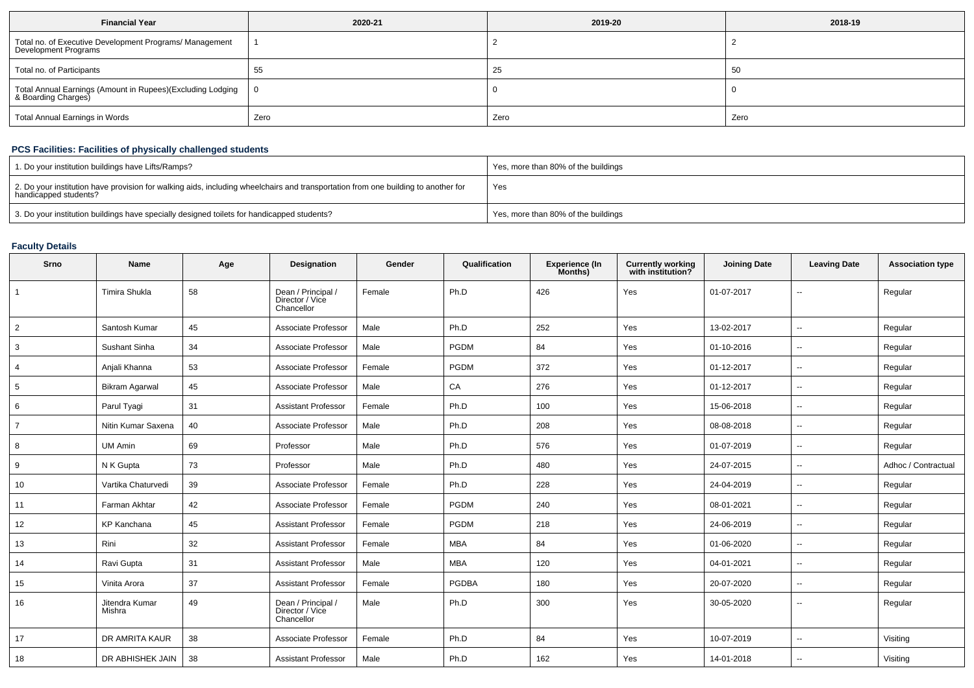| <b>Financial Year</b>                                                             | 2020-21 | 2019-20 | 2018-19 |  |
|-----------------------------------------------------------------------------------|---------|---------|---------|--|
| Total no. of Executive Development Programs/ Management<br>Development Programs   |         |         |         |  |
| Total no. of Participants                                                         | 55      | 25      | 50      |  |
| Total Annual Earnings (Amount in Rupees)(Excluding Lodging<br>& Boarding Charges) |         |         |         |  |
| <b>Total Annual Earnings in Words</b>                                             | Zero    | Zero    | Zero    |  |

## **PCS Facilities: Facilities of physically challenged students**

| 1. Do your institution buildings have Lifts/Ramps?                                                                                                         | Yes, more than 80% of the buildings |
|------------------------------------------------------------------------------------------------------------------------------------------------------------|-------------------------------------|
| 2. Do your institution have provision for walking aids, including wheelchairs and transportation from one building to another for<br>handicapped students? | Yes                                 |
| 3. Do your institution buildings have specially designed toilets for handicapped students?                                                                 | Yes, more than 80% of the buildings |

# **Faculty Details**

| Srno           | Name                     | Age | Designation                                         | Gender | Qualification | <b>Experience (In</b><br>Months) | <b>Currently working</b><br>with institution? | <b>Joining Date</b> | <b>Leaving Date</b>      | <b>Association type</b> |
|----------------|--------------------------|-----|-----------------------------------------------------|--------|---------------|----------------------------------|-----------------------------------------------|---------------------|--------------------------|-------------------------|
|                | Timira Shukla            | 58  | Dean / Principal /<br>Director / Vice<br>Chancellor | Female | Ph.D          | 426                              | Yes                                           | 01-07-2017          | $-$                      | Regular                 |
| $\overline{2}$ | Santosh Kumar            | 45  | Associate Professor                                 | Male   | Ph.D          | 252                              | Yes                                           | 13-02-2017          | $\overline{a}$           | Regular                 |
| 3              | Sushant Sinha            | 34  | Associate Professor                                 | Male   | <b>PGDM</b>   | 84                               | Yes                                           | 01-10-2016          | $\sim$                   | Regular                 |
| 4              | Anjali Khanna            | 53  | Associate Professor                                 | Female | <b>PGDM</b>   | 372                              | Yes                                           | 01-12-2017          | ۰.                       | Regular                 |
| 5              | <b>Bikram Agarwal</b>    | 45  | Associate Professor                                 | Male   | CA            | 276                              | Yes                                           | 01-12-2017          | $\overline{\phantom{a}}$ | Regular                 |
| 6              | Parul Tyagi              | 31  | <b>Assistant Professor</b>                          | Female | Ph.D          | 100                              | Yes                                           | 15-06-2018          | $\overline{\phantom{a}}$ | Regular                 |
| $\overline{7}$ | Nitin Kumar Saxena       | 40  | Associate Professor                                 | Male   | Ph.D          | 208                              | Yes                                           | 08-08-2018          | ۰.                       | Regular                 |
| 8              | UM Amin                  | 69  | Professor                                           | Male   | Ph.D          | 576                              | Yes                                           | 01-07-2019          | $\overline{\phantom{a}}$ | Regular                 |
| 9              | N K Gupta                | 73  | Professor                                           | Male   | Ph.D          | 480                              | Yes                                           | 24-07-2015          | --                       | Adhoc / Contractual     |
| 10             | Vartika Chaturvedi       | 39  | Associate Professor                                 | Female | Ph.D          | 228                              | Yes                                           | 24-04-2019          | $-$                      | Regular                 |
| 11             | Farman Akhtar            | 42  | Associate Professor                                 | Female | <b>PGDM</b>   | 240                              | Yes                                           | 08-01-2021          | $\sim$                   | Regular                 |
| 12             | KP Kanchana              | 45  | <b>Assistant Professor</b>                          | Female | PGDM          | 218                              | Yes                                           | 24-06-2019          | ۰.                       | Regular                 |
| 13             | Rini                     | 32  | <b>Assistant Professor</b>                          | Female | <b>MBA</b>    | 84                               | Yes                                           | 01-06-2020          | $\overline{\phantom{a}}$ | Regular                 |
| 14             | Ravi Gupta               | 31  | <b>Assistant Professor</b>                          | Male   | <b>MBA</b>    | 120                              | Yes                                           | 04-01-2021          | $\overline{\phantom{a}}$ | Regular                 |
| 15             | Vinita Arora             | 37  | <b>Assistant Professor</b>                          | Female | <b>PGDBA</b>  | 180                              | Yes                                           | 20-07-2020          | $\overline{\phantom{a}}$ | Regular                 |
| 16             | Jitendra Kumar<br>Mishra | 49  | Dean / Principal /<br>Director / Vice<br>Chancellor | Male   | Ph.D          | 300                              | Yes                                           | 30-05-2020          | $\overline{\phantom{a}}$ | Regular                 |
| 17             | DR AMRITA KAUR           | 38  | Associate Professor                                 | Female | Ph.D          | 84                               | Yes                                           | 10-07-2019          | $\mathbf{u}$             | Visiting                |
| 18             | DR ABHISHEK JAIN         | 38  | <b>Assistant Professor</b>                          | Male   | Ph.D          | 162                              | Yes                                           | 14-01-2018          |                          | Visiting                |